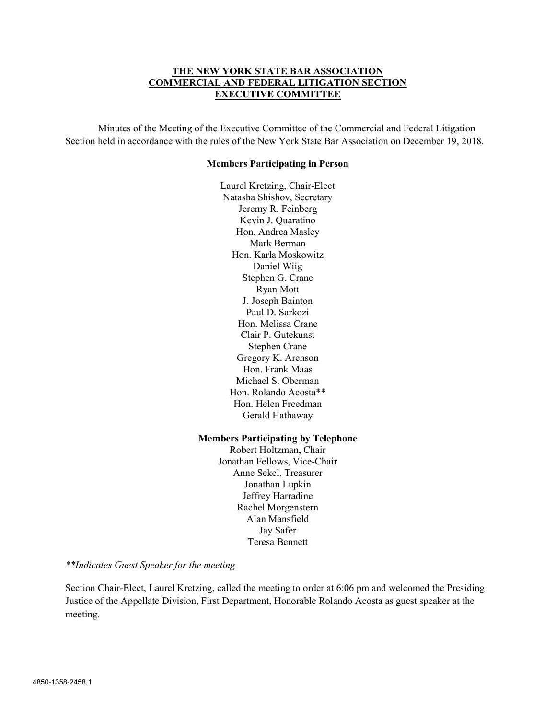## THE NEW YORK STATE BAR ASSOCIATION COMMERCIAL AND FEDERAL LITIGATION SECTION EXECUTIVE COMMITTEE

Minutes of the Meeting of the Executive Committee of the Commercial and Federal Litigation Section held in accordance with the rules of the New York State Bar Association on December 19, 2018.

#### Members Participating in Person

Laurel Kretzing, Chair-Elect Natasha Shishov, Secretary Jeremy R. Feinberg Kevin J. Quaratino Hon. Andrea Masley Mark Berman Hon. Karla Moskowitz Daniel Wiig Stephen G. Crane Ryan Mott J. Joseph Bainton Paul D. Sarkozi Hon. Melissa Crane Clair P. Gutekunst Stephen Crane Gregory K. Arenson Hon. Frank Maas Michael S. Oberman Hon. Rolando Acosta\*\* Hon. Helen Freedman Gerald Hathaway

#### Members Participating by Telephone

Robert Holtzman, Chair Jonathan Fellows, Vice-Chair Anne Sekel, Treasurer Jonathan Lupkin Jeffrey Harradine Rachel Morgenstern Alan Mansfield Jay Safer Teresa Bennett

\*\*Indicates Guest Speaker for the meeting

Section Chair-Elect, Laurel Kretzing, called the meeting to order at 6:06 pm and welcomed the Presiding Justice of the Appellate Division, First Department, Honorable Rolando Acosta as guest speaker at the meeting.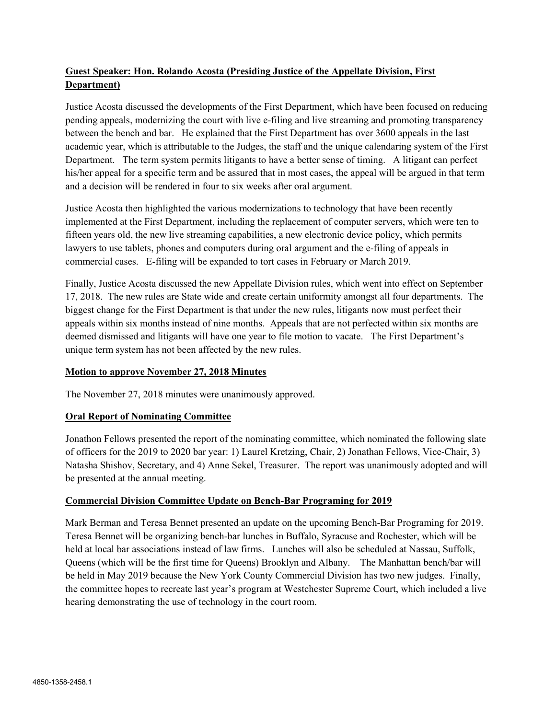# Guest Speaker: Hon. Rolando Acosta (Presiding Justice of the Appellate Division, First Department)

Justice Acosta discussed the developments of the First Department, which have been focused on reducing pending appeals, modernizing the court with live e-filing and live streaming and promoting transparency between the bench and bar. He explained that the First Department has over 3600 appeals in the last academic year, which is attributable to the Judges, the staff and the unique calendaring system of the First Department. The term system permits litigants to have a better sense of timing. A litigant can perfect his/her appeal for a specific term and be assured that in most cases, the appeal will be argued in that term and a decision will be rendered in four to six weeks after oral argument.

Justice Acosta then highlighted the various modernizations to technology that have been recently implemented at the First Department, including the replacement of computer servers, which were ten to fifteen years old, the new live streaming capabilities, a new electronic device policy, which permits lawyers to use tablets, phones and computers during oral argument and the e-filing of appeals in commercial cases. E-filing will be expanded to tort cases in February or March 2019.

Finally, Justice Acosta discussed the new Appellate Division rules, which went into effect on September 17, 2018. The new rules are State wide and create certain uniformity amongst all four departments. The biggest change for the First Department is that under the new rules, litigants now must perfect their appeals within six months instead of nine months. Appeals that are not perfected within six months are deemed dismissed and litigants will have one year to file motion to vacate. The First Department's unique term system has not been affected by the new rules.

# Motion to approve November 27, 2018 Minutes

The November 27, 2018 minutes were unanimously approved.

# Oral Report of Nominating Committee

Jonathon Fellows presented the report of the nominating committee, which nominated the following slate of officers for the 2019 to 2020 bar year: 1) Laurel Kretzing, Chair, 2) Jonathan Fellows, Vice-Chair, 3) Natasha Shishov, Secretary, and 4) Anne Sekel, Treasurer. The report was unanimously adopted and will be presented at the annual meeting.

### Commercial Division Committee Update on Bench-Bar Programing for 2019

Mark Berman and Teresa Bennet presented an update on the upcoming Bench-Bar Programing for 2019. Teresa Bennet will be organizing bench-bar lunches in Buffalo, Syracuse and Rochester, which will be held at local bar associations instead of law firms. Lunches will also be scheduled at Nassau, Suffolk, Queens (which will be the first time for Queens) Brooklyn and Albany. The Manhattan bench/bar will be held in May 2019 because the New York County Commercial Division has two new judges. Finally, the committee hopes to recreate last year's program at Westchester Supreme Court, which included a live hearing demonstrating the use of technology in the court room.